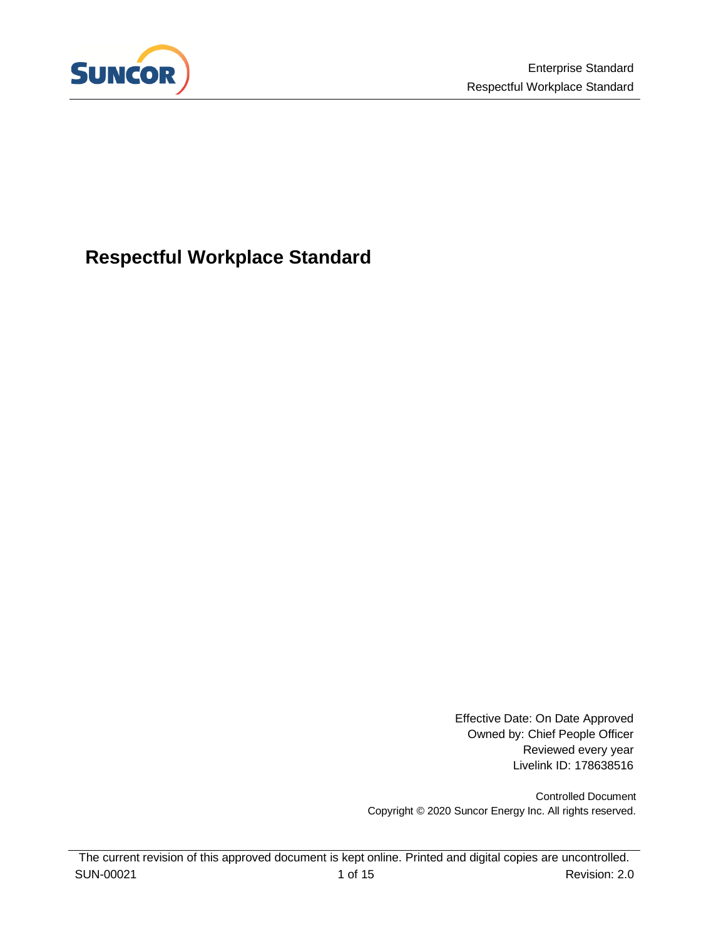

# **Respectful Workplace Standard**

Effective Date: On Date Approved Owned by: Chief People Officer Reviewed every year Livelink ID: 178638516

Controlled Document Copyright © 2020 Suncor Energy Inc. All rights reserved.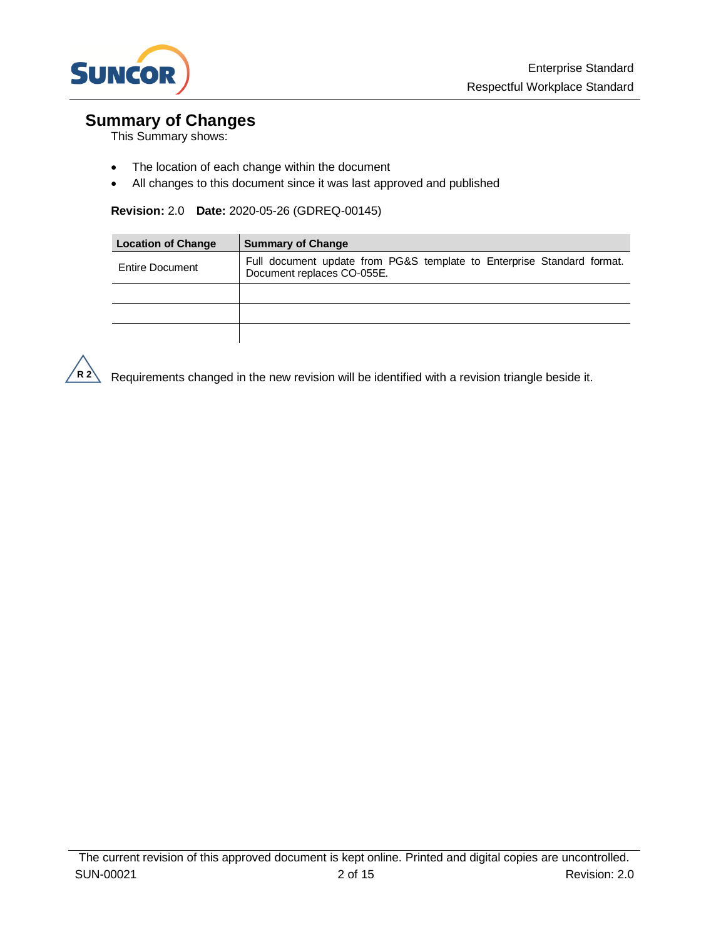

## **Summary of Changes**

This Summary shows:

- The location of each change within the document
- All changes to this document since it was last approved and published

#### **Revision:** 2.0 **Date:** 2020-05-26 (GDREQ-00145)

| <b>Location of Change</b> | <b>Summary of Change</b>                                                                             |
|---------------------------|------------------------------------------------------------------------------------------------------|
| Entire Document           | Full document update from PG&S template to Enterprise Standard format.<br>Document replaces CO-055E. |
|                           |                                                                                                      |
|                           |                                                                                                      |
|                           |                                                                                                      |



 $R$ <sup>2</sup> Requirements changed in the new revision will be identified with a revision triangle beside it.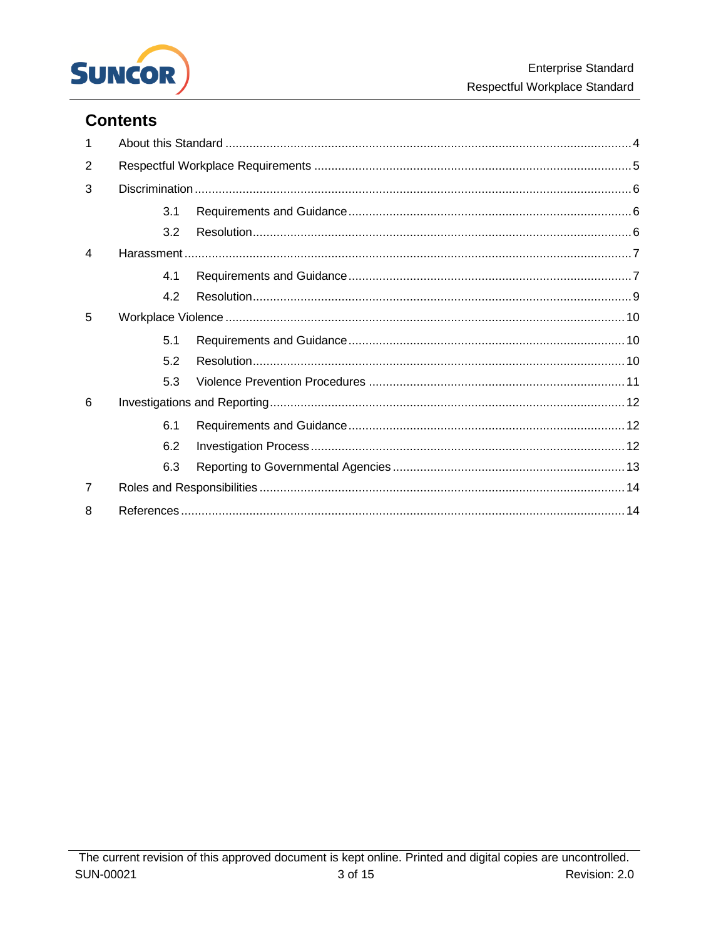

## **Contents**

| 1              |     |  |  |
|----------------|-----|--|--|
| 2              |     |  |  |
| 3              |     |  |  |
|                | 3.1 |  |  |
|                | 3.2 |  |  |
| 4              |     |  |  |
|                | 4.1 |  |  |
|                | 4.2 |  |  |
| 5              |     |  |  |
|                | 5.1 |  |  |
|                | 5.2 |  |  |
|                | 5.3 |  |  |
| 6              |     |  |  |
|                | 6.1 |  |  |
|                | 6.2 |  |  |
|                | 6.3 |  |  |
| $\overline{7}$ |     |  |  |
| 8              |     |  |  |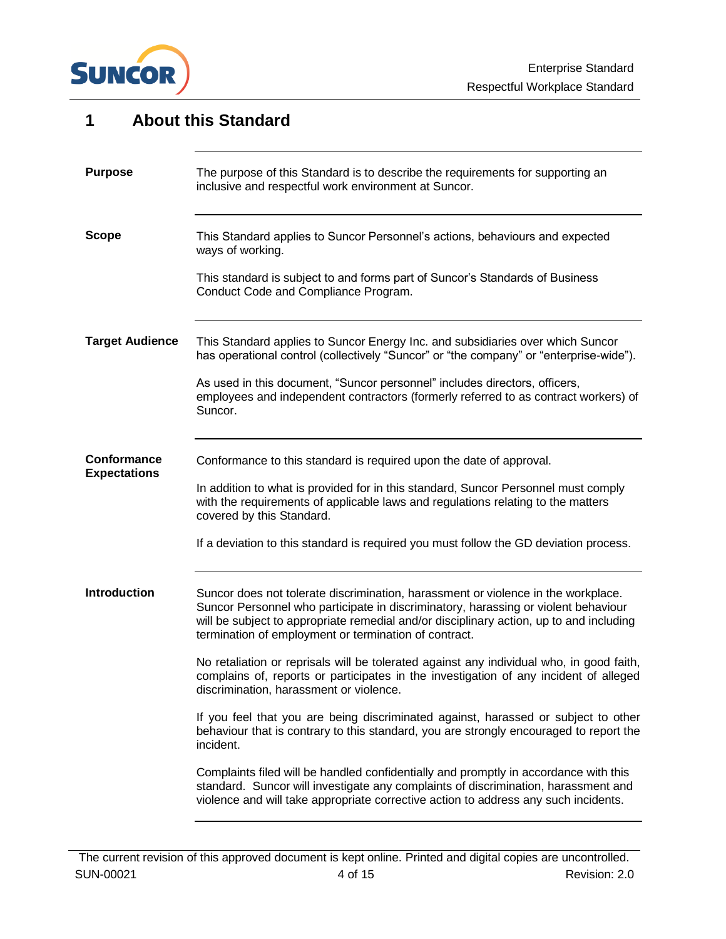

## <span id="page-3-0"></span>**1 About this Standard** The purpose of this Standard is to describe the requirements for supporting an inclusive and respectful work environment at Suncor. This Standard applies to Suncor Personnel's actions, behaviours and expected ways of working. This standard is subject to and forms part of Suncor's Standards of Business Conduct Code and Compliance Program. This Standard applies to Suncor Energy Inc. and subsidiaries over which Suncor has operational control (collectively "Suncor" or "the company" or "enterprise-wide"). As used in this document, "Suncor personnel" includes directors, officers, employees and independent contractors (formerly referred to as contract workers) of Suncor. Conformance to this standard is required upon the date of approval. In addition to what is provided for in this standard, Suncor Personnel must comply with the requirements of applicable laws and regulations relating to the matters covered by this Standard. If a deviation to this standard is required you must follow the GD deviation process. Suncor does not tolerate discrimination, harassment or violence in the workplace. Suncor Personnel who participate in discriminatory, harassing or violent behaviour will be subject to appropriate remedial and/or disciplinary action, up to and including termination of employment or termination of contract. No retaliation or reprisals will be tolerated against any individual who, in good faith, complains of, reports or participates in the investigation of any incident of alleged discrimination, harassment or violence. If you feel that you are being discriminated against, harassed or subject to other behaviour that is contrary to this standard, you are strongly encouraged to report the incident. Complaints filed will be handled confidentially and promptly in accordance with this standard. Suncor will investigate any complaints of discrimination, harassment and violence and will take appropriate corrective action to address any such incidents. **Purpose Scope Target Audience Conformance Expectations Introduction**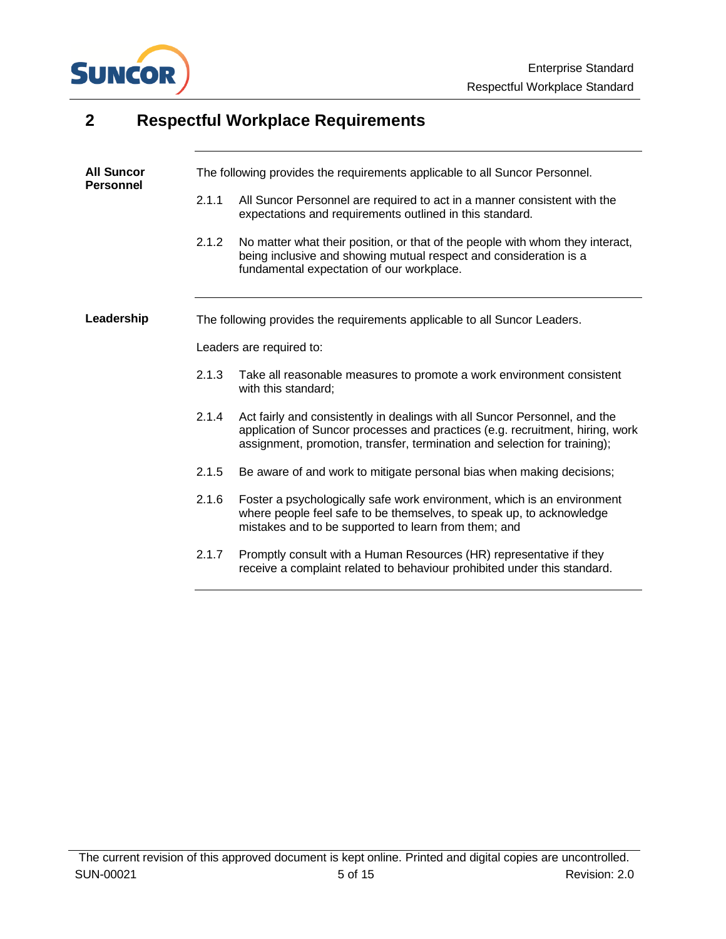

# <span id="page-4-0"></span>**2 Respectful Workplace Requirements**

| <b>All Suncor</b><br><b>Personnel</b> |       | The following provides the requirements applicable to all Suncor Personnel.                                                                                                                                                              |
|---------------------------------------|-------|------------------------------------------------------------------------------------------------------------------------------------------------------------------------------------------------------------------------------------------|
|                                       | 2.1.1 | All Suncor Personnel are required to act in a manner consistent with the<br>expectations and requirements outlined in this standard.                                                                                                     |
|                                       | 2.1.2 | No matter what their position, or that of the people with whom they interact,<br>being inclusive and showing mutual respect and consideration is a<br>fundamental expectation of our workplace.                                          |
| Leadership                            |       | The following provides the requirements applicable to all Suncor Leaders.                                                                                                                                                                |
|                                       |       | Leaders are required to:                                                                                                                                                                                                                 |
|                                       | 2.1.3 | Take all reasonable measures to promote a work environment consistent<br>with this standard;                                                                                                                                             |
|                                       | 2.1.4 | Act fairly and consistently in dealings with all Suncor Personnel, and the<br>application of Suncor processes and practices (e.g. recruitment, hiring, work<br>assignment, promotion, transfer, termination and selection for training); |
|                                       | 2.1.5 | Be aware of and work to mitigate personal bias when making decisions;                                                                                                                                                                    |
|                                       | 2.1.6 | Foster a psychologically safe work environment, which is an environment<br>where people feel safe to be themselves, to speak up, to acknowledge<br>mistakes and to be supported to learn from them; and                                  |
|                                       | 2.1.7 | Promptly consult with a Human Resources (HR) representative if they<br>receive a complaint related to behaviour prohibited under this standard.                                                                                          |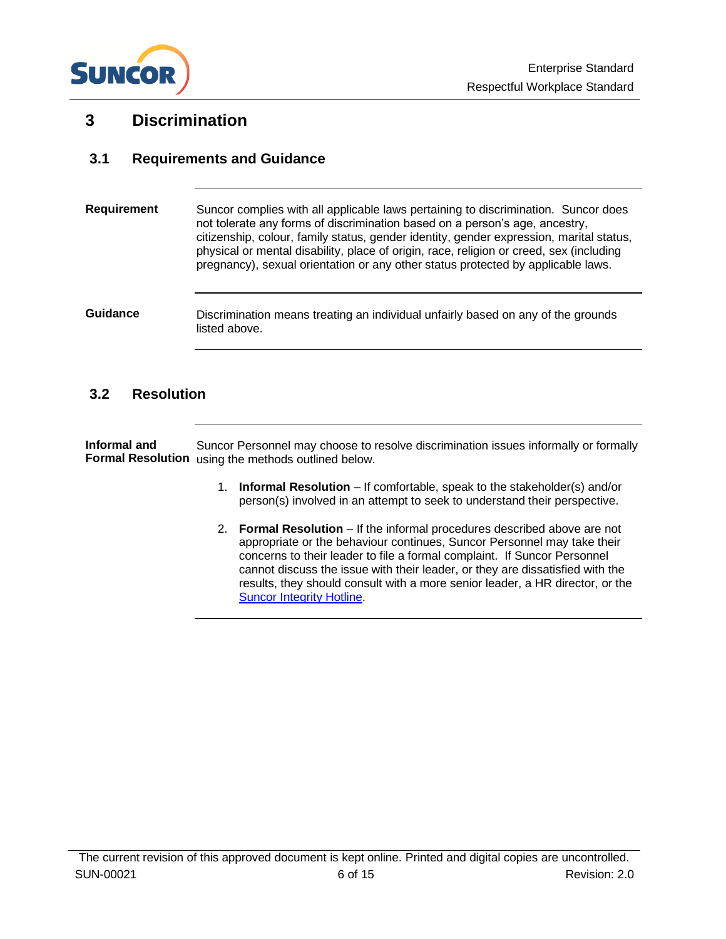

## <span id="page-5-0"></span>**3 Discrimination**

### <span id="page-5-1"></span>**3.1 Requirements and Guidance**

| <b>Requirement</b> | Suncor complies with all applicable laws pertaining to discrimination. Suncor does<br>not tolerate any forms of discrimination based on a person's age, ancestry,<br>citizenship, colour, family status, gender identity, gender expression, marital status,<br>physical or mental disability, place of origin, race, religion or creed, sex (including<br>pregnancy), sexual orientation or any other status protected by applicable laws. |
|--------------------|---------------------------------------------------------------------------------------------------------------------------------------------------------------------------------------------------------------------------------------------------------------------------------------------------------------------------------------------------------------------------------------------------------------------------------------------|
| Guidance           | Discrimination means treating an individual unfairly based on any of the grounds<br>listed above.                                                                                                                                                                                                                                                                                                                                           |

#### <span id="page-5-2"></span>**3.2 Resolution**

Suncor Personnel may choose to resolve discrimination issues informally or formally Formal Resolution using the methods outlined below. **Informal and** 

- 1. **Informal Resolution** If comfortable, speak to the stakeholder(s) and/or person(s) involved in an attempt to seek to understand their perspective.
- 2. **Formal Resolution** If the informal procedures described above are not appropriate or the behaviour continues, Suncor Personnel may take their concerns to their leader to file a formal complaint. If Suncor Personnel cannot discuss the issue with their leader, or they are dissatisfied with the results, they should consult with a more senior leader, a HR director, or the [Suncor Integrity Hotline.](https://secure.ethicspoint.com/domain/media/en/gui/13115/index.html)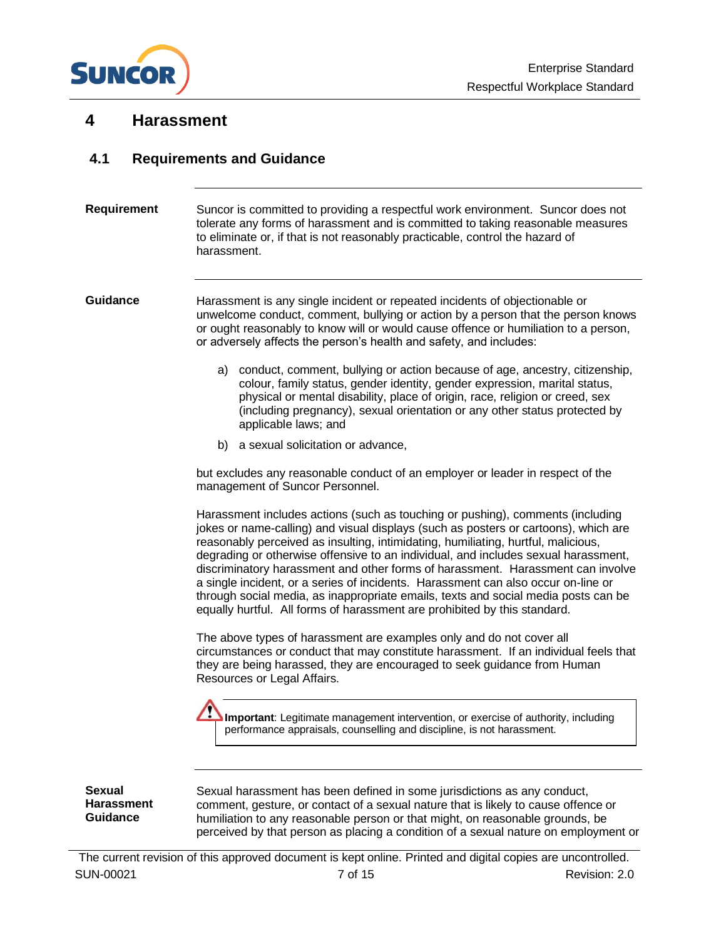

## <span id="page-6-0"></span>**4 Harassment**

### <span id="page-6-1"></span>**4.1 Requirements and Guidance**

## Suncor is committed to providing a respectful work environment. Suncor does not tolerate any forms of harassment and is committed to taking reasonable measures to eliminate or, if that is not reasonably practicable, control the hazard of harassment. Harassment is any single incident or repeated incidents of objectionable or unwelcome conduct, comment, bullying or action by a person that the person knows or ought reasonably to know will or would cause offence or humiliation to a person, or adversely affects the person's health and safety, and includes: a) conduct, comment, bullying or action because of age, ancestry, citizenship, colour, family status, gender identity, gender expression, marital status, physical or mental disability, place of origin, race, religion or creed, sex (including pregnancy), sexual orientation or any other status protected by applicable laws; and b) a sexual solicitation or advance, but excludes any reasonable conduct of an employer or leader in respect of the management of Suncor Personnel. Harassment includes actions (such as touching or pushing), comments (including jokes or name-calling) and visual displays (such as posters or cartoons), which are reasonably perceived as insulting, intimidating, humiliating, hurtful, malicious, degrading or otherwise offensive to an individual, and includes sexual harassment, discriminatory harassment and other forms of harassment. Harassment can involve a single incident, or a series of incidents. Harassment can also occur on-line or through social media, as inappropriate emails, texts and social media posts can be equally hurtful. All forms of harassment are prohibited by this standard. The above types of harassment are examples only and do not cover all circumstances or conduct that may constitute harassment. If an individual feels that they are being harassed, they are encouraged to seek guidance from Human Resources or Legal Affairs. **Requirement Guidance Sexual Important**: Legitimate management intervention, or exercise of authority, including performance appraisals, counselling and discipline, is not harassment.

**Harassment Guidance**

Sexual harassment has been defined in some jurisdictions as any conduct, comment, gesture, or contact of a sexual nature that is likely to cause offence or humiliation to any reasonable person or that might, on reasonable grounds, be perceived by that person as placing a condition of a sexual nature on employment or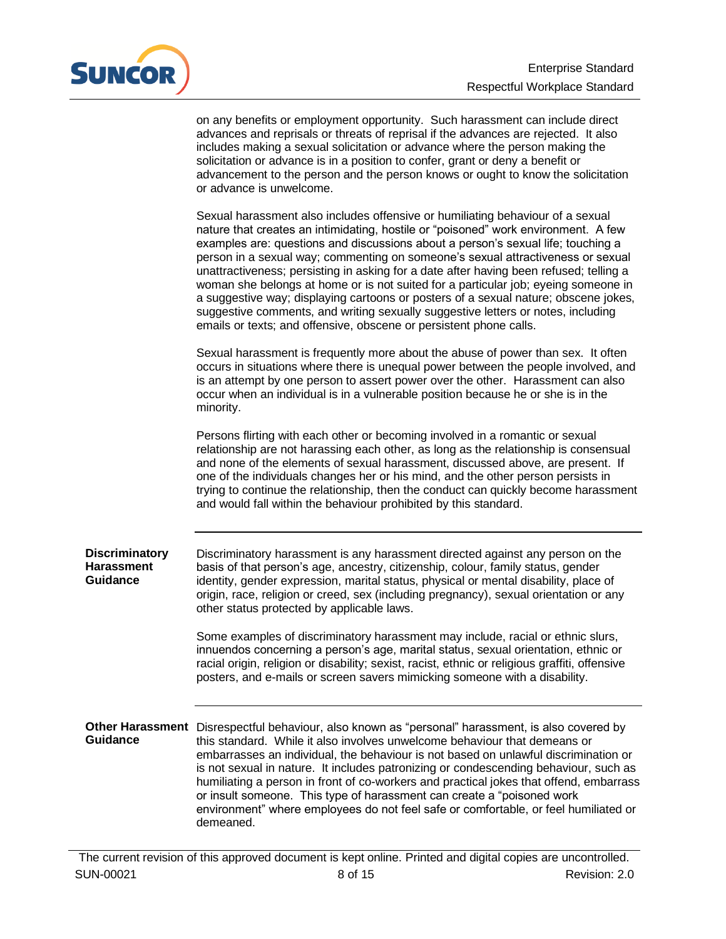

| on any benefits or employment opportunity. Such harassment can include direct       |
|-------------------------------------------------------------------------------------|
| advances and reprisals or threats of reprisal if the advances are rejected. It also |
| includes making a sexual solicitation or advance where the person making the        |
| solicitation or advance is in a position to confer, grant or deny a benefit or      |
| advancement to the person and the person knows or ought to know the solicitation    |
| or advance is unwelcome.                                                            |

Sexual harassment also includes offensive or humiliating behaviour of a sexual nature that creates an intimidating, hostile or "poisoned" work environment. A few examples are: questions and discussions about a person's sexual life; touching a person in a sexual way; commenting on someone's sexual attractiveness or sexual unattractiveness; persisting in asking for a date after having been refused; telling a woman she belongs at home or is not suited for a particular job; eyeing someone in a suggestive way; displaying cartoons or posters of a sexual nature; obscene jokes, suggestive comments, and writing sexually suggestive letters or notes, including emails or texts; and offensive, obscene or persistent phone calls.

Sexual harassment is frequently more about the abuse of power than sex. It often occurs in situations where there is unequal power between the people involved, and is an attempt by one person to assert power over the other. Harassment can also occur when an individual is in a vulnerable position because he or she is in the minority.

Persons flirting with each other or becoming involved in a romantic or sexual relationship are not harassing each other, as long as the relationship is consensual and none of the elements of sexual harassment, discussed above, are present. If one of the individuals changes her or his mind, and the other person persists in trying to continue the relationship, then the conduct can quickly become harassment and would fall within the behaviour prohibited by this standard.

Discriminatory harassment is any harassment directed against any person on the basis of that person's age, ancestry, citizenship, colour, family status, gender identity, gender expression, marital status, physical or mental disability, place of origin, race, religion or creed, sex (including pregnancy), sexual orientation or any other status protected by applicable laws. **Discriminatory Harassment Guidance**

> Some examples of discriminatory harassment may include, racial or ethnic slurs, innuendos concerning a person's age, marital status, sexual orientation, ethnic or racial origin, religion or disability; sexist, racist, ethnic or religious graffiti, offensive posters, and e-mails or screen savers mimicking someone with a disability.

Other Harassment Disrespectful behaviour, also known as "personal" harassment, is also covered by this standard. While it also involves unwelcome behaviour that demeans or embarrasses an individual, the behaviour is not based on unlawful discrimination or is not sexual in nature. It includes patronizing or condescending behaviour, such as humiliating a person in front of co-workers and practical jokes that offend, embarrass or insult someone. This type of harassment can create a "poisoned work environment" where employees do not feel safe or comfortable, or feel humiliated or demeaned. **Guidance**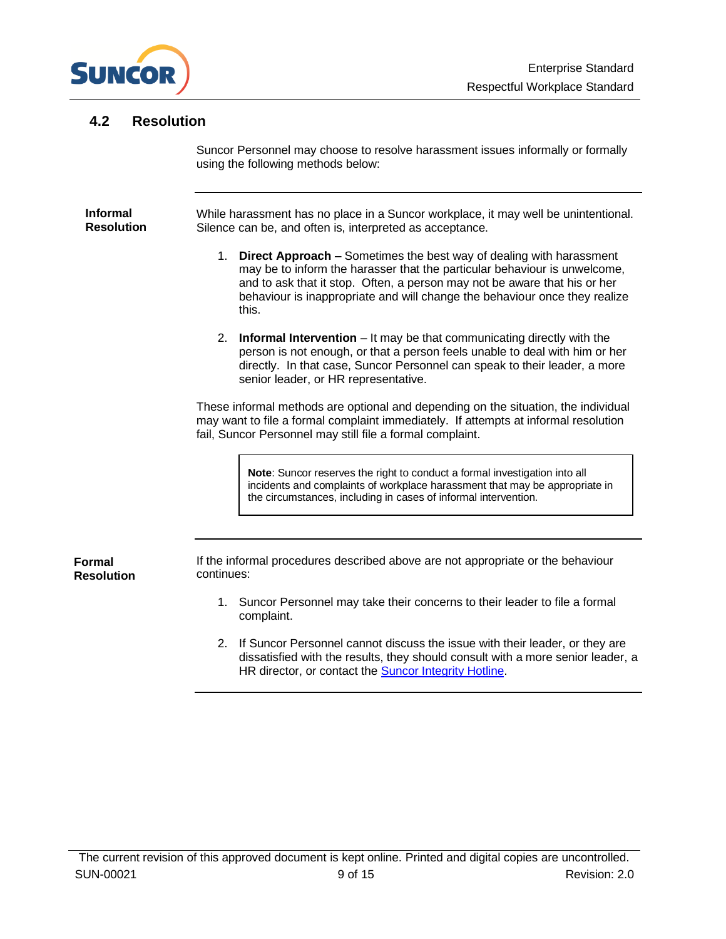

### <span id="page-8-0"></span>**4.2 Resolution**

Suncor Personnel may choose to resolve harassment issues informally or formally using the following methods below:

While harassment has no place in a Suncor workplace, it may well be unintentional. Silence can be, and often is, interpreted as acceptance. **Informal Resolution**

- 1. **Direct Approach –** Sometimes the best way of dealing with harassment may be to inform the harasser that the particular behaviour is unwelcome, and to ask that it stop. Often, a person may not be aware that his or her behaviour is inappropriate and will change the behaviour once they realize this.
- 2. **Informal Intervention**  It may be that communicating directly with the person is not enough, or that a person feels unable to deal with him or her directly. In that case, Suncor Personnel can speak to their leader, a more senior leader, or HR representative.

These informal methods are optional and depending on the situation, the individual may want to file a formal complaint immediately. If attempts at informal resolution fail, Suncor Personnel may still file a formal complaint.

> **Note:** Suncor reserves the right to conduct a formal investigation into all incidents and complaints of workplace harassment that may be appropriate in the circumstances, including in cases of informal intervention.

**Formal Resolution** If the informal procedures described above are not appropriate or the behaviour continues:

- 1. Suncor Personnel may take their concerns to their leader to file a formal complaint.
- 2. If Suncor Personnel cannot discuss the issue with their leader, or they are dissatisfied with the results, they should consult with a more senior leader, a HR director, or contact the **Suncor Integrity Hotline**.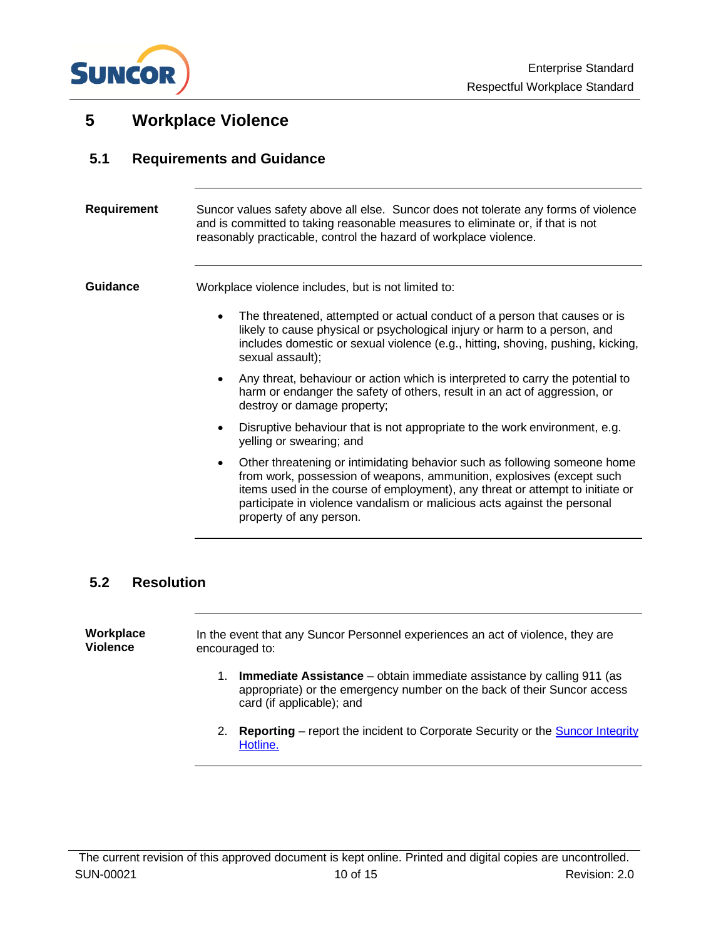

## <span id="page-9-0"></span>**5 Workplace Violence**

## <span id="page-9-1"></span>**5.1 Requirements and Guidance**

| <b>Requirement</b> | Suncor values safety above all else. Suncor does not tolerate any forms of violence<br>and is committed to taking reasonable measures to eliminate or, if that is not<br>reasonably practicable, control the hazard of workplace violence.                                                                                                              |  |  |
|--------------------|---------------------------------------------------------------------------------------------------------------------------------------------------------------------------------------------------------------------------------------------------------------------------------------------------------------------------------------------------------|--|--|
| <b>Guidance</b>    | Workplace violence includes, but is not limited to:                                                                                                                                                                                                                                                                                                     |  |  |
|                    | The threatened, attempted or actual conduct of a person that causes or is<br>likely to cause physical or psychological injury or harm to a person, and<br>includes domestic or sexual violence (e.g., hitting, shoving, pushing, kicking,<br>sexual assault);                                                                                           |  |  |
|                    | Any threat, behaviour or action which is interpreted to carry the potential to<br>harm or endanger the safety of others, result in an act of aggression, or<br>destroy or damage property;                                                                                                                                                              |  |  |
|                    | Disruptive behaviour that is not appropriate to the work environment, e.g.<br>yelling or swearing; and                                                                                                                                                                                                                                                  |  |  |
|                    | Other threatening or intimidating behavior such as following someone home<br>$\bullet$<br>from work, possession of weapons, ammunition, explosives (except such<br>items used in the course of employment), any threat or attempt to initiate or<br>participate in violence vandalism or malicious acts against the personal<br>property of any person. |  |  |
|                    |                                                                                                                                                                                                                                                                                                                                                         |  |  |

## <span id="page-9-2"></span>**5.2 Resolution**

| Workplace<br>Violence | In the event that any Suncor Personnel experiences an act of violence, they are<br>encouraged to:                                                                                    |  |  |
|-----------------------|--------------------------------------------------------------------------------------------------------------------------------------------------------------------------------------|--|--|
|                       | <b>Immediate Assistance</b> – obtain immediate assistance by calling 911 (as<br>appropriate) or the emergency number on the back of their Suncor access<br>card (if applicable); and |  |  |

2. **Reporting** – report the incident to Corporate Security or the [Suncor Integrity](http://www.suncor.ethicspoint.com/)  [Hotline.](http://www.suncor.ethicspoint.com/)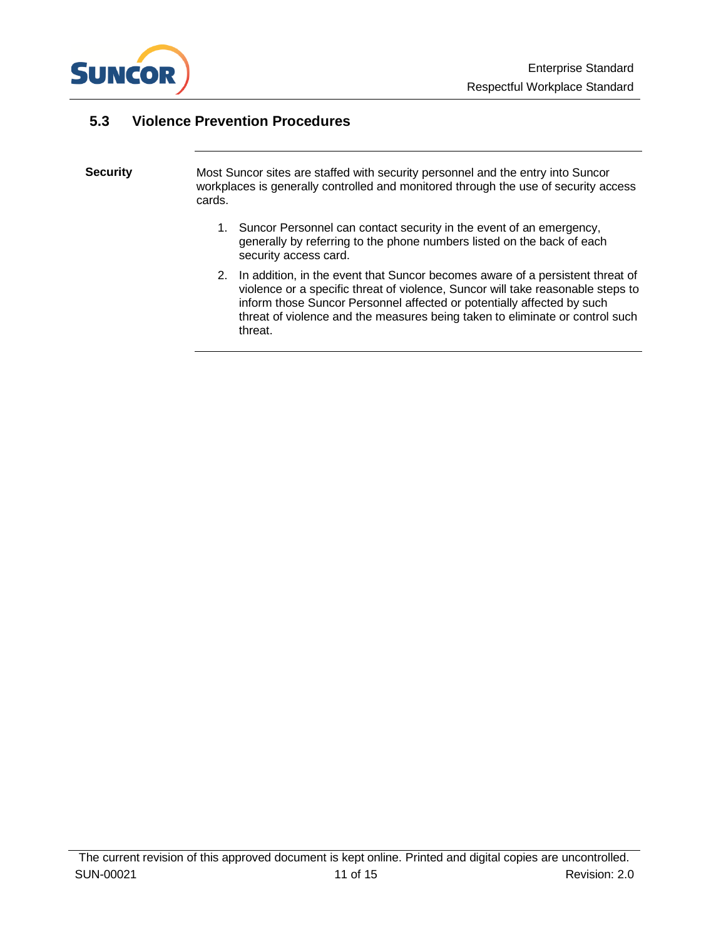

### <span id="page-10-0"></span>**5.3 Violence Prevention Procedures**

#### Most Suncor sites are staffed with security personnel and the entry into Suncor workplaces is generally controlled and monitored through the use of security access cards. **Security**

- 1. Suncor Personnel can contact security in the event of an emergency, generally by referring to the phone numbers listed on the back of each security access card.
- 2. In addition, in the event that Suncor becomes aware of a persistent threat of violence or a specific threat of violence, Suncor will take reasonable steps to inform those Suncor Personnel affected or potentially affected by such threat of violence and the measures being taken to eliminate or control such threat.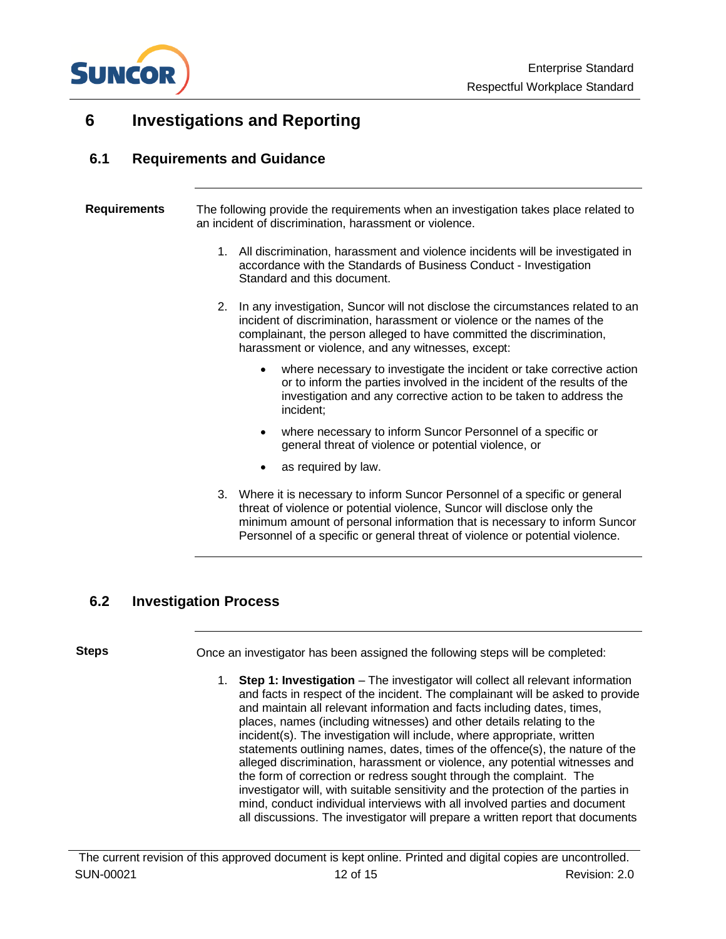

## <span id="page-11-0"></span>**6 Investigations and Reporting**

#### <span id="page-11-1"></span>**6.1 Requirements and Guidance**

| <b>Requirements</b> |    | The following provide the requirements when an investigation takes place related to<br>an incident of discrimination, harassment or violence.                                                                                                                                           |
|---------------------|----|-----------------------------------------------------------------------------------------------------------------------------------------------------------------------------------------------------------------------------------------------------------------------------------------|
|                     |    | 1. All discrimination, harassment and violence incidents will be investigated in<br>accordance with the Standards of Business Conduct - Investigation<br>Standard and this document.                                                                                                    |
|                     | 2. | In any investigation, Suncor will not disclose the circumstances related to an<br>incident of discrimination, harassment or violence or the names of the<br>complainant, the person alleged to have committed the discrimination,<br>harassment or violence, and any witnesses, except: |
|                     |    | where necessary to investigate the incident or take corrective action<br>or to inform the parties involved in the incident of the results of the<br>investigation and any corrective action to be taken to address the<br>incident;                                                     |
|                     |    | where necessary to inform Suncor Personnel of a specific or<br>$\bullet$<br>general threat of violence or potential violence, or                                                                                                                                                        |
|                     |    | as required by law.<br>٠                                                                                                                                                                                                                                                                |
|                     | 3. | Where it is necessary to inform Suncor Personnel of a specific or general                                                                                                                                                                                                               |

threat of violence or potential violence, Suncor will disclose only the minimum amount of personal information that is necessary to inform Suncor Personnel of a specific or general threat of violence or potential violence.

### <span id="page-11-2"></span>**6.2 Investigation Process**

#### **Steps**

Once an investigator has been assigned the following steps will be completed:

1. **Step 1: Investigation** – The investigator will collect all relevant information and facts in respect of the incident. The complainant will be asked to provide and maintain all relevant information and facts including dates, times, places, names (including witnesses) and other details relating to the incident(s). The investigation will include, where appropriate, written statements outlining names, dates, times of the offence(s), the nature of the alleged discrimination, harassment or violence, any potential witnesses and the form of correction or redress sought through the complaint. The investigator will, with suitable sensitivity and the protection of the parties in mind, conduct individual interviews with all involved parties and document all discussions. The investigator will prepare a written report that documents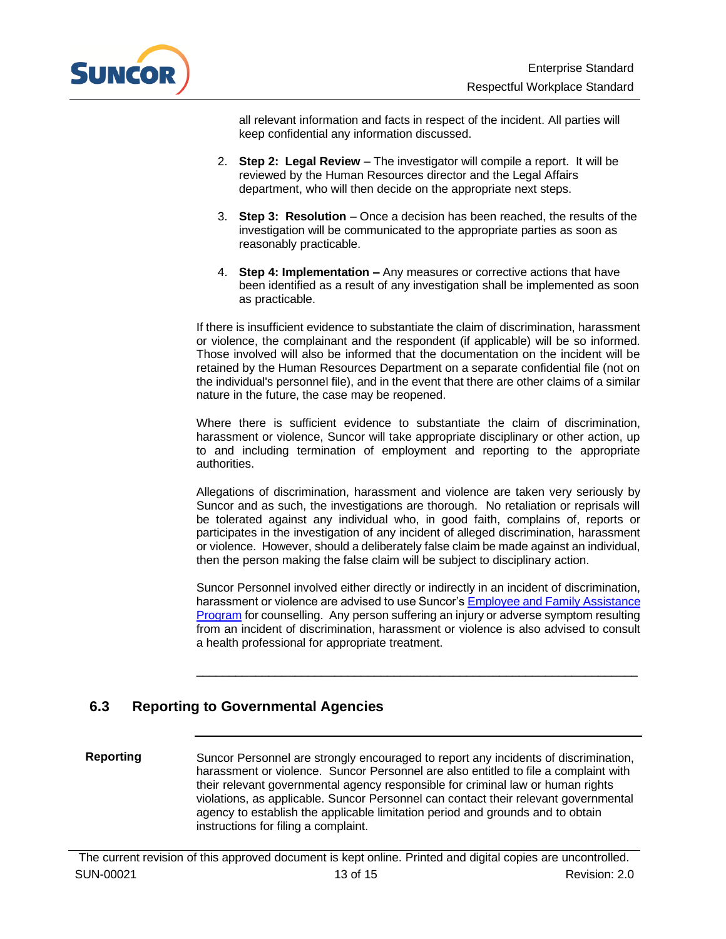

all relevant information and facts in respect of the incident. All parties will keep confidential any information discussed.

- 2. **Step 2: Legal Review** The investigator will compile a report. It will be reviewed by the Human Resources director and the Legal Affairs department, who will then decide on the appropriate next steps.
- 3. **Step 3: Resolution** Once a decision has been reached, the results of the investigation will be communicated to the appropriate parties as soon as reasonably practicable.
- 4. **Step 4: Implementation –** Any measures or corrective actions that have been identified as a result of any investigation shall be implemented as soon as practicable.

If there is insufficient evidence to substantiate the claim of discrimination, harassment or violence, the complainant and the respondent (if applicable) will be so informed. Those involved will also be informed that the documentation on the incident will be retained by the Human Resources Department on a separate confidential file (not on the individual's personnel file), and in the event that there are other claims of a similar nature in the future, the case may be reopened.

Where there is sufficient evidence to substantiate the claim of discrimination, harassment or violence, Suncor will take appropriate disciplinary or other action, up to and including termination of employment and reporting to the appropriate authorities.

Allegations of discrimination, harassment and violence are taken very seriously by Suncor and as such, the investigations are thorough. No retaliation or reprisals will be tolerated against any individual who, in good faith, complains of, reports or participates in the investigation of any incident of alleged discrimination, harassment or violence. However, should a deliberately false claim be made against an individual, then the person making the false claim will be subject to disciplinary action.

Suncor Personnel involved either directly or indirectly in an incident of discrimination, harassment or violence are advised to use Suncor'[s Employee and Family Assistance](http://thecore.network.lan/en/tools/Pages/HealthAndWellness/Employee-and-Family-Assistance-Program.aspx)  [Program](http://thecore.network.lan/en/tools/Pages/HealthAndWellness/Employee-and-Family-Assistance-Program.aspx) for counselling. Any person suffering an injury or adverse symptom resulting from an incident of discrimination, harassment or violence is also advised to consult a health professional for appropriate treatment.

 $\_$  ,  $\_$  ,  $\_$  ,  $\_$  ,  $\_$  ,  $\_$  ,  $\_$  ,  $\_$  ,  $\_$  ,  $\_$  ,  $\_$  ,  $\_$  ,  $\_$  ,  $\_$  ,  $\_$  ,  $\_$  ,  $\_$  ,  $\_$  ,  $\_$ 

## <span id="page-12-0"></span>**6.3 Reporting to Governmental Agencies**

Suncor Personnel are strongly encouraged to report any incidents of discrimination, harassment or violence. Suncor Personnel are also entitled to file a complaint with their relevant governmental agency responsible for criminal law or human rights violations, as applicable. Suncor Personnel can contact their relevant governmental agency to establish the applicable limitation period and grounds and to obtain instructions for filing a complaint. **Reporting**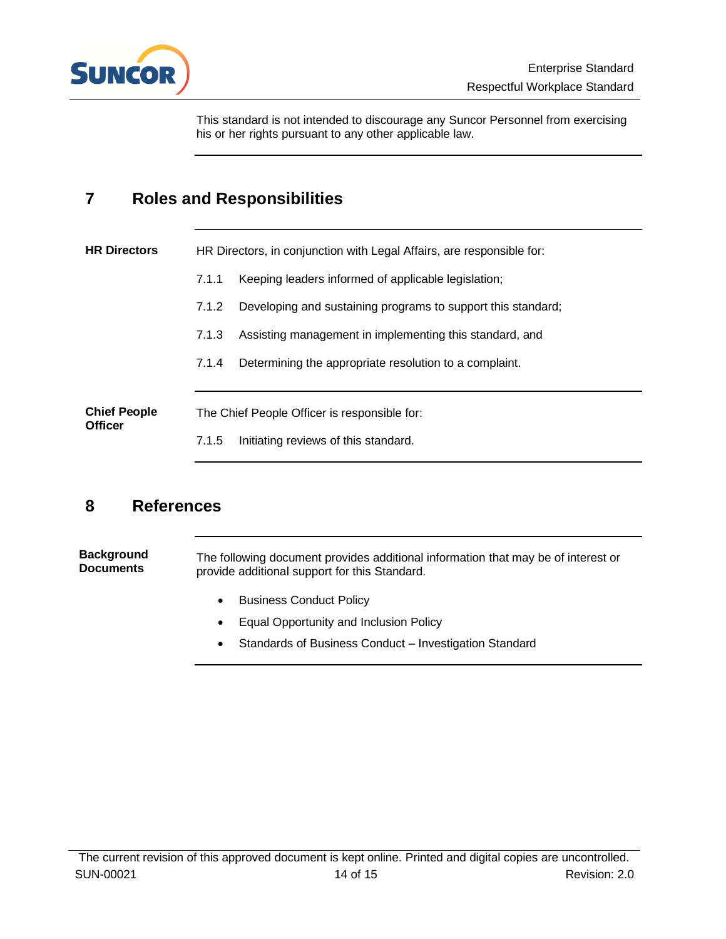

This standard is not intended to discourage any Suncor Personnel from exercising his or her rights pursuant to any other applicable law.

## <span id="page-13-0"></span>**7 Roles and Responsibilities**

| <b>HR Directors</b>                   | HR Directors, in conjunction with Legal Affairs, are responsible for: |                                                              |
|---------------------------------------|-----------------------------------------------------------------------|--------------------------------------------------------------|
|                                       | 7.1.1                                                                 | Keeping leaders informed of applicable legislation;          |
|                                       | 7.1.2                                                                 | Developing and sustaining programs to support this standard; |
|                                       | 7.1.3                                                                 | Assisting management in implementing this standard, and      |
|                                       | 7.1.4                                                                 | Determining the appropriate resolution to a complaint.       |
|                                       |                                                                       |                                                              |
| <b>Chief People</b><br><b>Officer</b> |                                                                       | The Chief People Officer is responsible for:                 |
|                                       | 7.1.5                                                                 | Initiating reviews of this standard.                         |

## <span id="page-13-1"></span>**8 References**

The following document provides additional information that may be of interest or provide additional support for this Standard. **Background Documents**

- Business Conduct Policy
- Equal Opportunity and Inclusion Policy
- Standards of Business Conduct Investigation Standard